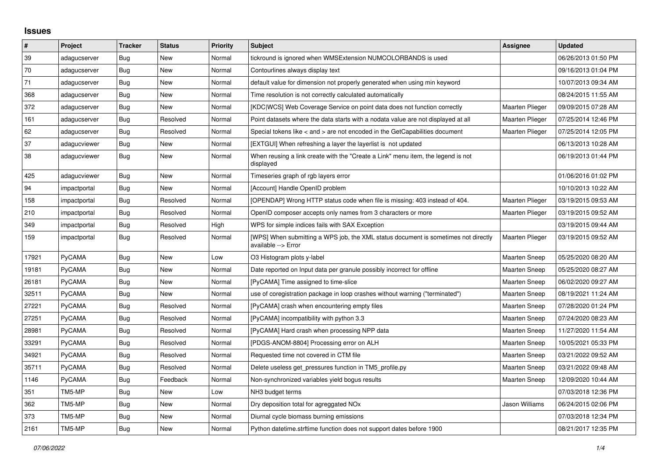## **Issues**

| $\vert$ # | Project       | <b>Tracker</b> | <b>Status</b> | <b>Priority</b> | <b>Subject</b>                                                                                            | Assignee               | <b>Updated</b>      |
|-----------|---------------|----------------|---------------|-----------------|-----------------------------------------------------------------------------------------------------------|------------------------|---------------------|
| 39        | adagucserver  | Bug            | New           | Normal          | tickround is ignored when WMSExtension NUMCOLORBANDS is used                                              |                        | 06/26/2013 01:50 PM |
| 70        | adagucserver  | Bug            | <b>New</b>    | Normal          | Contourlines always display text                                                                          |                        | 09/16/2013 01:04 PM |
| 71        | adagucserver  | Bug            | New           | Normal          | default value for dimension not properly generated when using min keyword                                 |                        | 10/07/2013 09:34 AM |
| 368       | adagucserver  | Bug            | <b>New</b>    | Normal          | Time resolution is not correctly calculated automatically                                                 |                        | 08/24/2015 11:55 AM |
| 372       | adagucserver  | <b>Bug</b>     | New           | Normal          | [KDC WCS] Web Coverage Service on point data does not function correctly                                  | <b>Maarten Plieger</b> | 09/09/2015 07:28 AM |
| 161       | adagucserver  | Bug            | Resolved      | Normal          | Point datasets where the data starts with a nodata value are not displayed at all                         | <b>Maarten Plieger</b> | 07/25/2014 12:46 PM |
| 62        | adagucserver  | Bug            | Resolved      | Normal          | Special tokens like $\lt$ and $\gt$ are not encoded in the GetCapabilities document                       | <b>Maarten Plieger</b> | 07/25/2014 12:05 PM |
| 37        | adagucviewer  | <b>Bug</b>     | <b>New</b>    | Normal          | [EXTGUI] When refreshing a layer the layerlist is not updated                                             |                        | 06/13/2013 10:28 AM |
| 38        | adagucviewer  | Bug            | New           | Normal          | When reusing a link create with the "Create a Link" menu item, the legend is not<br>displayed             |                        | 06/19/2013 01:44 PM |
| 425       | adagucviewer  | Bug            | New           | Normal          | Timeseries graph of rgb layers error                                                                      |                        | 01/06/2016 01:02 PM |
| 94        | impactportal  | Bug            | New           | Normal          | [Account] Handle OpenID problem                                                                           |                        | 10/10/2013 10:22 AM |
| 158       | impactportal  | Bug            | Resolved      | Normal          | [OPENDAP] Wrong HTTP status code when file is missing: 403 instead of 404.                                | Maarten Plieger        | 03/19/2015 09:53 AM |
| 210       | impactportal  | Bug            | Resolved      | Normal          | OpenID composer accepts only names from 3 characters or more                                              | Maarten Plieger        | 03/19/2015 09:52 AM |
| 349       | impactportal  | <b>Bug</b>     | Resolved      | High            | WPS for simple indices fails with SAX Exception                                                           |                        | 03/19/2015 09:44 AM |
| 159       | impactportal  | <b>Bug</b>     | Resolved      | Normal          | [WPS] When submitting a WPS job, the XML status document is sometimes not directly<br>available --> Error | <b>Maarten Plieger</b> | 03/19/2015 09:52 AM |
| 17921     | PyCAMA        | Bug            | New           | Low             | O3 Histogram plots y-label                                                                                | Maarten Sneep          | 05/25/2020 08:20 AM |
| 19181     | <b>PyCAMA</b> | <b>Bug</b>     | New           | Normal          | Date reported on Input data per granule possibly incorrect for offline                                    | Maarten Sneep          | 05/25/2020 08:27 AM |
| 26181     | PyCAMA        | Bug            | New           | Normal          | [PyCAMA] Time assigned to time-slice                                                                      | <b>Maarten Sneep</b>   | 06/02/2020 09:27 AM |
| 32511     | <b>PyCAMA</b> | Bug            | New           | Normal          | use of coregistration package in loop crashes without warning ("terminated")                              | <b>Maarten Sneep</b>   | 08/19/2021 11:24 AM |
| 27221     | PyCAMA        | <b>Bug</b>     | Resolved      | Normal          | [PyCAMA] crash when encountering empty files                                                              | Maarten Sneep          | 07/28/2020 01:24 PM |
| 27251     | PyCAMA        | <b>Bug</b>     | Resolved      | Normal          | [PyCAMA] incompatibility with python 3.3                                                                  | <b>Maarten Sneep</b>   | 07/24/2020 08:23 AM |
| 28981     | PyCAMA        | <b>Bug</b>     | Resolved      | Normal          | [PyCAMA] Hard crash when processing NPP data                                                              | <b>Maarten Sneep</b>   | 11/27/2020 11:54 AM |
| 33291     | <b>PyCAMA</b> | <b>Bug</b>     | Resolved      | Normal          | [PDGS-ANOM-8804] Processing error on ALH                                                                  | <b>Maarten Sneep</b>   | 10/05/2021 05:33 PM |
| 34921     | PyCAMA        | Bug            | Resolved      | Normal          | Requested time not covered in CTM file                                                                    | <b>Maarten Sneep</b>   | 03/21/2022 09:52 AM |
| 35711     | PyCAMA        | Bug            | Resolved      | Normal          | Delete useless get pressures function in TM5 profile.py                                                   | <b>Maarten Sneep</b>   | 03/21/2022 09:48 AM |
| 1146      | <b>PyCAMA</b> | <b>Bug</b>     | Feedback      | Normal          | Non-synchronized variables yield bogus results                                                            | <b>Maarten Sneep</b>   | 12/09/2020 10:44 AM |
| 351       | TM5-MP        | Bug            | New           | Low             | NH <sub>3</sub> budget terms                                                                              |                        | 07/03/2018 12:36 PM |
| 362       | TM5-MP        | <b>Bug</b>     | New           | Normal          | Dry deposition total for agreggated NO <sub>x</sub>                                                       | Jason Williams         | 06/24/2015 02:06 PM |
| 373       | TM5-MP        | <b>Bug</b>     | New           | Normal          | Diurnal cycle biomass burning emissions                                                                   |                        | 07/03/2018 12:34 PM |
| 2161      | TM5-MP        | Bug            | New           | Normal          | Python datetime.strftime function does not support dates before 1900                                      |                        | 08/21/2017 12:35 PM |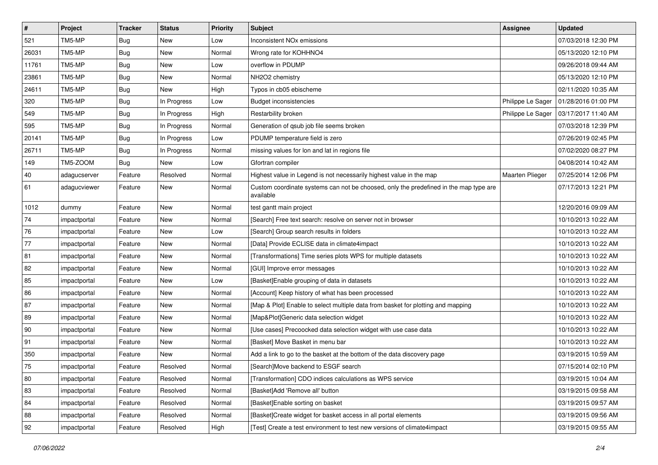| $\vert$ #    | Project      | <b>Tracker</b> | <b>Status</b> | <b>Priority</b> | <b>Subject</b>                                                                                     | <b>Assignee</b>   | <b>Updated</b>      |
|--------------|--------------|----------------|---------------|-----------------|----------------------------------------------------------------------------------------------------|-------------------|---------------------|
| 521          | TM5-MP       | <b>Bug</b>     | New           | Low             | Inconsistent NO <sub>x</sub> emissions                                                             |                   | 07/03/2018 12:30 PM |
| 26031        | TM5-MP       | <b>Bug</b>     | <b>New</b>    | Normal          | Wrong rate for KOHHNO4                                                                             |                   | 05/13/2020 12:10 PM |
| 11761        | TM5-MP       | <b>Bug</b>     | New           | Low             | overflow in PDUMP                                                                                  |                   | 09/26/2018 09:44 AM |
| 23861        | TM5-MP       | <b>Bug</b>     | New           | Normal          | NH2O2 chemistry                                                                                    |                   | 05/13/2020 12:10 PM |
| 24611        | TM5-MP       | <b>Bug</b>     | <b>New</b>    | High            | Typos in cb05 ebischeme                                                                            |                   | 02/11/2020 10:35 AM |
| 320          | TM5-MP       | <b>Bug</b>     | In Progress   | Low             | <b>Budget inconsistencies</b>                                                                      | Philippe Le Sager | 01/28/2016 01:00 PM |
| 549          | TM5-MP       | <b>Bug</b>     | In Progress   | High            | Restarbility broken                                                                                | Philippe Le Sager | 03/17/2017 11:40 AM |
| 595          | TM5-MP       | <b>Bug</b>     | In Progress   | Normal          | Generation of gsub job file seems broken                                                           |                   | 07/03/2018 12:39 PM |
| 20141        | TM5-MP       | Bug            | In Progress   | Low             | PDUMP temperature field is zero                                                                    |                   | 07/26/2019 02:45 PM |
| 26711        | TM5-MP       | <b>Bug</b>     | In Progress   | Normal          | missing values for lon and lat in regions file                                                     |                   | 07/02/2020 08:27 PM |
| 149          | TM5-ZOOM     | <b>Bug</b>     | New           | Low             | Gfortran compiler                                                                                  |                   | 04/08/2014 10:42 AM |
| $ 40\rangle$ | adagucserver | Feature        | Resolved      | Normal          | Highest value in Legend is not necessarily highest value in the map                                | Maarten Plieger   | 07/25/2014 12:06 PM |
| 61           | adagucviewer | Feature        | New           | Normal          | Custom coordinate systems can not be choosed, only the predefined in the map type are<br>available |                   | 07/17/2013 12:21 PM |
| 1012         | dummy        | Feature        | <b>New</b>    | Normal          | test gantt main project                                                                            |                   | 12/20/2016 09:09 AM |
| 74           | impactportal | Feature        | New           | Normal          | [Search] Free text search: resolve on server not in browser                                        |                   | 10/10/2013 10:22 AM |
| 76           | impactportal | Feature        | New           | Low             | [Search] Group search results in folders                                                           |                   | 10/10/2013 10:22 AM |
| 77           | impactportal | Feature        | <b>New</b>    | Normal          | [Data] Provide ECLISE data in climate4impact                                                       |                   | 10/10/2013 10:22 AM |
| 81           | impactportal | Feature        | <b>New</b>    | Normal          | [Transformations] Time series plots WPS for multiple datasets                                      |                   | 10/10/2013 10:22 AM |
| 82           | impactportal | Feature        | <b>New</b>    | Normal          | [GUI] Improve error messages                                                                       |                   | 10/10/2013 10:22 AM |
| 85           | impactportal | Feature        | New           | Low             | [Basket]Enable grouping of data in datasets                                                        |                   | 10/10/2013 10:22 AM |
| 86           | impactportal | Feature        | New           | Normal          | [Account] Keep history of what has been processed                                                  |                   | 10/10/2013 10:22 AM |
| 87           | impactportal | Feature        | New           | Normal          | [Map & Plot] Enable to select multiple data from basket for plotting and mapping                   |                   | 10/10/2013 10:22 AM |
| 89           | impactportal | Feature        | New           | Normal          | [Map&Plot]Generic data selection widget                                                            |                   | 10/10/2013 10:22 AM |
| $ 90\rangle$ | impactportal | Feature        | <b>New</b>    | Normal          | [Use cases] Precoocked data selection widget with use case data                                    |                   | 10/10/2013 10:22 AM |
| 91           | impactportal | Feature        | New           | Normal          | [Basket] Move Basket in menu bar                                                                   |                   | 10/10/2013 10:22 AM |
| 350          | impactportal | Feature        | New           | Normal          | Add a link to go to the basket at the bottom of the data discovery page                            |                   | 03/19/2015 10:59 AM |
| 75           | impactportal | Feature        | Resolved      | Normal          | [Search]Move backend to ESGF search                                                                |                   | 07/15/2014 02:10 PM |
| 80           | impactportal | Feature        | Resolved      | Normal          | [Transformation] CDO indices calculations as WPS service                                           |                   | 03/19/2015 10:04 AM |
| 83           | impactportal | Feature        | Resolved      | Normal          | [Basket]Add 'Remove all' button                                                                    |                   | 03/19/2015 09:58 AM |
| 84           | impactportal | Feature        | Resolved      | Normal          | [Basket]Enable sorting on basket                                                                   |                   | 03/19/2015 09:57 AM |
| 88           | impactportal | Feature        | Resolved      | Normal          | [Basket]Create widget for basket access in all portal elements                                     |                   | 03/19/2015 09:56 AM |
| 92           | impactportal | Feature        | Resolved      | High            | [Test] Create a test environment to test new versions of climate4impact                            |                   | 03/19/2015 09:55 AM |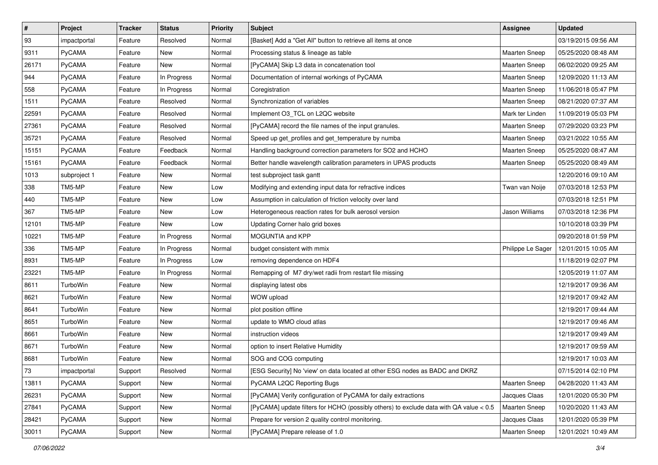| $\vert$ # | Project       | <b>Tracker</b> | <b>Status</b> | <b>Priority</b> | Subject                                                                                | Assignee             | <b>Updated</b>      |
|-----------|---------------|----------------|---------------|-----------------|----------------------------------------------------------------------------------------|----------------------|---------------------|
| 93        | impactportal  | Feature        | Resolved      | Normal          | [Basket] Add a "Get All" button to retrieve all items at once                          |                      | 03/19/2015 09:56 AM |
| 9311      | PyCAMA        | Feature        | New           | Normal          | Processing status & lineage as table                                                   | <b>Maarten Sneep</b> | 05/25/2020 08:48 AM |
| 26171     | <b>PyCAMA</b> | Feature        | New           | Normal          | [PyCAMA] Skip L3 data in concatenation tool                                            | Maarten Sneep        | 06/02/2020 09:25 AM |
| 944       | PyCAMA        | Feature        | In Progress   | Normal          | Documentation of internal workings of PyCAMA                                           | <b>Maarten Sneep</b> | 12/09/2020 11:13 AM |
| 558       | PyCAMA        | Feature        | In Progress   | Normal          | Coregistration                                                                         | Maarten Sneep        | 11/06/2018 05:47 PM |
| 1511      | <b>PyCAMA</b> | Feature        | Resolved      | Normal          | Synchronization of variables                                                           | <b>Maarten Sneep</b> | 08/21/2020 07:37 AM |
| 22591     | PyCAMA        | Feature        | Resolved      | Normal          | Implement O3_TCL on L2QC website                                                       | Mark ter Linden      | 11/09/2019 05:03 PM |
| 27361     | <b>PyCAMA</b> | Feature        | Resolved      | Normal          | [PyCAMA] record the file names of the input granules.                                  | Maarten Sneep        | 07/29/2020 03:23 PM |
| 35721     | PyCAMA        | Feature        | Resolved      | Normal          | Speed up get_profiles and get_temperature by numba                                     | Maarten Sneep        | 03/21/2022 10:55 AM |
| 15151     | <b>PyCAMA</b> | Feature        | Feedback      | Normal          | Handling background correction parameters for SO2 and HCHO                             | Maarten Sneep        | 05/25/2020 08:47 AM |
| 15161     | <b>PyCAMA</b> | Feature        | Feedback      | Normal          | Better handle wavelength calibration parameters in UPAS products                       | <b>Maarten Sneep</b> | 05/25/2020 08:49 AM |
| 1013      | subproject 1  | Feature        | New           | Normal          | test subproject task gantt                                                             |                      | 12/20/2016 09:10 AM |
| 338       | TM5-MP        | Feature        | New           | Low             | Modifying and extending input data for refractive indices                              | Twan van Noije       | 07/03/2018 12:53 PM |
| 440       | TM5-MP        | Feature        | New           | Low             | Assumption in calculation of friction velocity over land                               |                      | 07/03/2018 12:51 PM |
| 367       | TM5-MP        | Feature        | New           | Low             | Heterogeneous reaction rates for bulk aerosol version                                  | Jason Williams       | 07/03/2018 12:36 PM |
| 12101     | TM5-MP        | Feature        | New           | Low             | Updating Corner halo grid boxes                                                        |                      | 10/10/2018 03:39 PM |
| 10221     | TM5-MP        | Feature        | In Progress   | Normal          | MOGUNTIA and KPP                                                                       |                      | 09/20/2018 01:59 PM |
| 336       | TM5-MP        | Feature        | In Progress   | Normal          | budget consistent with mmix                                                            | Philippe Le Sager    | 12/01/2015 10:05 AM |
| 8931      | TM5-MP        | Feature        | In Progress   | Low             | removing dependence on HDF4                                                            |                      | 11/18/2019 02:07 PM |
| 23221     | TM5-MP        | Feature        | In Progress   | Normal          | Remapping of M7 dry/wet radii from restart file missing                                |                      | 12/05/2019 11:07 AM |
| 8611      | TurboWin      | Feature        | New           | Normal          | displaying latest obs                                                                  |                      | 12/19/2017 09:36 AM |
| 8621      | TurboWin      | Feature        | New           | Normal          | WOW upload                                                                             |                      | 12/19/2017 09:42 AM |
| 8641      | TurboWin      | Feature        | New           | Normal          | plot position offline                                                                  |                      | 12/19/2017 09:44 AM |
| 8651      | TurboWin      | Feature        | New           | Normal          | update to WMO cloud atlas                                                              |                      | 12/19/2017 09:46 AM |
| 8661      | TurboWin      | Feature        | New           | Normal          | instruction videos                                                                     |                      | 12/19/2017 09:49 AM |
| 8671      | TurboWin      | Feature        | New           | Normal          | option to insert Relative Humidity                                                     |                      | 12/19/2017 09:59 AM |
| 8681      | TurboWin      | Feature        | New           | Normal          | SOG and COG computing                                                                  |                      | 12/19/2017 10:03 AM |
| 73        | impactportal  | Support        | Resolved      | Normal          | [ESG Security] No 'view' on data located at other ESG nodes as BADC and DKRZ           |                      | 07/15/2014 02:10 PM |
| 13811     | PyCAMA        | Support        | New           | Normal          | PyCAMA L2QC Reporting Bugs                                                             | <b>Maarten Sneep</b> | 04/28/2020 11:43 AM |
| 26231     | PyCAMA        | Support        | New           | Normal          | [PyCAMA] Verify configuration of PyCAMA for daily extractions                          | Jacques Claas        | 12/01/2020 05:30 PM |
| 27841     | PyCAMA        | Support        | New           | Normal          | [PyCAMA] update filters for HCHO (possibly others) to exclude data with QA value < 0.5 | Maarten Sneep        | 10/20/2020 11:43 AM |
| 28421     | PyCAMA        | Support        | New           | Normal          | Prepare for version 2 quality control monitoring.                                      | Jacques Claas        | 12/01/2020 05:39 PM |
| 30011     | PyCAMA        | Support        | New           | Normal          | [PyCAMA] Prepare release of 1.0                                                        | Maarten Sneep        | 12/01/2021 10:49 AM |